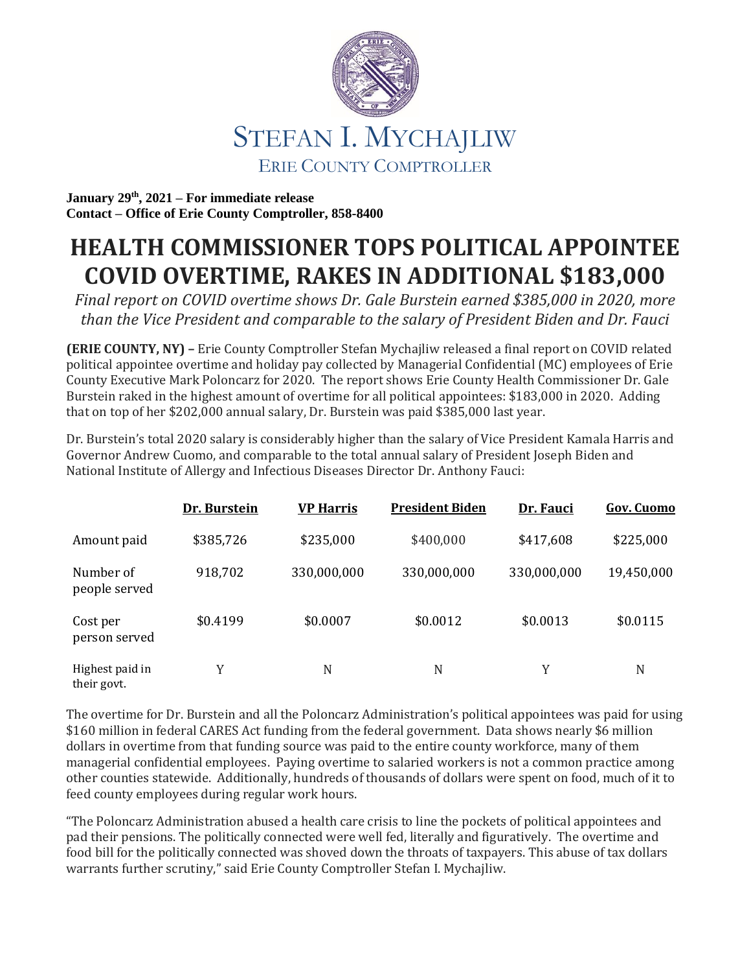

**January 29 th, 2021 – For immediate release Contact – Office of Erie County Comptroller, 858-8400**

## **HEALTH COMMISSIONER TOPS POLITICAL APPOINTEE COVID OVERTIME, RAKES IN ADDITIONAL \$183,000**

*Final report on COVID overtime shows Dr. Gale Burstein earned \$385,000 in 2020, more than the Vice President and comparable to the salary of President Biden and Dr. Fauci*

**(ERIE COUNTY, NY) –** Erie County Comptroller Stefan Mychajliw released a final report on COVID related political appointee overtime and holiday pay collected by Managerial Confidential (MC) employees of Erie County Executive Mark Poloncarz for 2020. The report shows Erie County Health Commissioner Dr. Gale Burstein raked in the highest amount of overtime for all political appointees: \$183,000 in 2020. Adding that on top of her \$202,000 annual salary, Dr. Burstein was paid \$385,000 last year.

Dr. Burstein's total 2020 salary is considerably higher than the salary of Vice President Kamala Harris and Governor Andrew Cuomo, and comparable to the total annual salary of President Joseph Biden and National Institute of Allergy and Infectious Diseases Director Dr. Anthony Fauci:

|                                | Dr. Burstein | <b>VP Harris</b> | <b>President Biden</b> | Dr. Fauci   | <b>Gov. Cuomo</b> |
|--------------------------------|--------------|------------------|------------------------|-------------|-------------------|
| Amount paid                    | \$385,726    | \$235,000        | \$400,000              | \$417,608   | \$225,000         |
| Number of<br>people served     | 918,702      | 330,000,000      | 330,000,000            | 330,000,000 | 19,450,000        |
| Cost per<br>person served      | \$0.4199     | \$0.0007         | \$0.0012               | \$0.0013    | \$0.0115          |
| Highest paid in<br>their govt. | Y            | N                | N                      | Y           | N                 |

The overtime for Dr. Burstein and all the Poloncarz Administration's political appointees was paid for using \$160 million in federal CARES Act funding from the federal government. Data shows nearly \$6 million dollars in overtime from that funding source was paid to the entire county workforce, many of them managerial confidential employees. Paying overtime to salaried workers is not a common practice among other counties statewide. Additionally, hundreds of thousands of dollars were spent on food, much of it to feed county employees during regular work hours.

"The Poloncarz Administration abused a health care crisis to line the pockets of political appointees and pad their pensions. The politically connected were well fed, literally and figuratively. The overtime and food bill for the politically connected was shoved down the throats of taxpayers. This abuse of tax dollars warrants further scrutiny," said Erie County Comptroller Stefan I. Mychajliw.